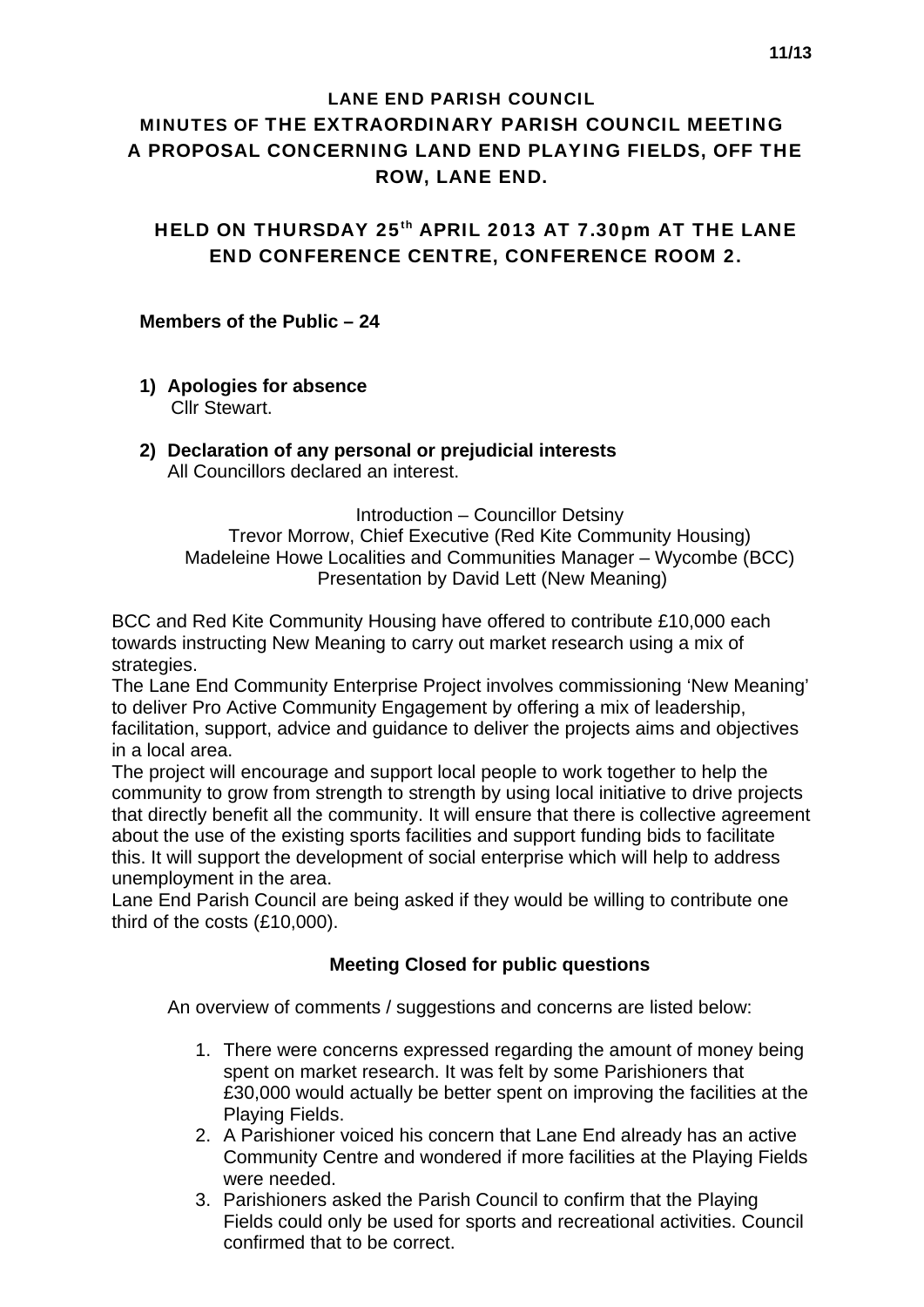#### LANE END PARISH COUNCIL

# MINUTES OF THE EXTRAORDINARY PARISH COUNCIL MEETING A PROPOSAL CONCERNING LAND END PLAYING FIELDS, OFF THE ROW, LANE END.

HELD ON THURSDAY 25<sup>th</sup> APRIL 2013 AT 7.30pm AT THE LANE END CONFERENCE CENTRE, CONFERENCE ROOM 2.

#### **Members of the Public – 24**

**1) Apologies for absence** 

Cllr Stewart.

**2) Declaration of any personal or prejudicial interests**  All Councillors declared an interest.

Introduction – Councillor Detsiny Trevor Morrow, Chief Executive (Red Kite Community Housing) Madeleine Howe Localities and Communities Manager – Wycombe (BCC) Presentation by David Lett (New Meaning)

BCC and Red Kite Community Housing have offered to contribute £10,000 each towards instructing New Meaning to carry out market research using a mix of strategies.

The Lane End Community Enterprise Project involves commissioning 'New Meaning' to deliver Pro Active Community Engagement by offering a mix of leadership, facilitation, support, advice and guidance to deliver the projects aims and objectives in a local area.

The project will encourage and support local people to work together to help the community to grow from strength to strength by using local initiative to drive projects that directly benefit all the community. It will ensure that there is collective agreement about the use of the existing sports facilities and support funding bids to facilitate this. It will support the development of social enterprise which will help to address unemployment in the area.

Lane End Parish Council are being asked if they would be willing to contribute one third of the costs (£10,000).

## **Meeting Closed for public questions**

An overview of comments / suggestions and concerns are listed below:

- 1. There were concerns expressed regarding the amount of money being spent on market research. It was felt by some Parishioners that £30,000 would actually be better spent on improving the facilities at the Playing Fields.
- 2. A Parishioner voiced his concern that Lane End already has an active Community Centre and wondered if more facilities at the Playing Fields were needed.
- 3. Parishioners asked the Parish Council to confirm that the Playing Fields could only be used for sports and recreational activities. Council confirmed that to be correct.